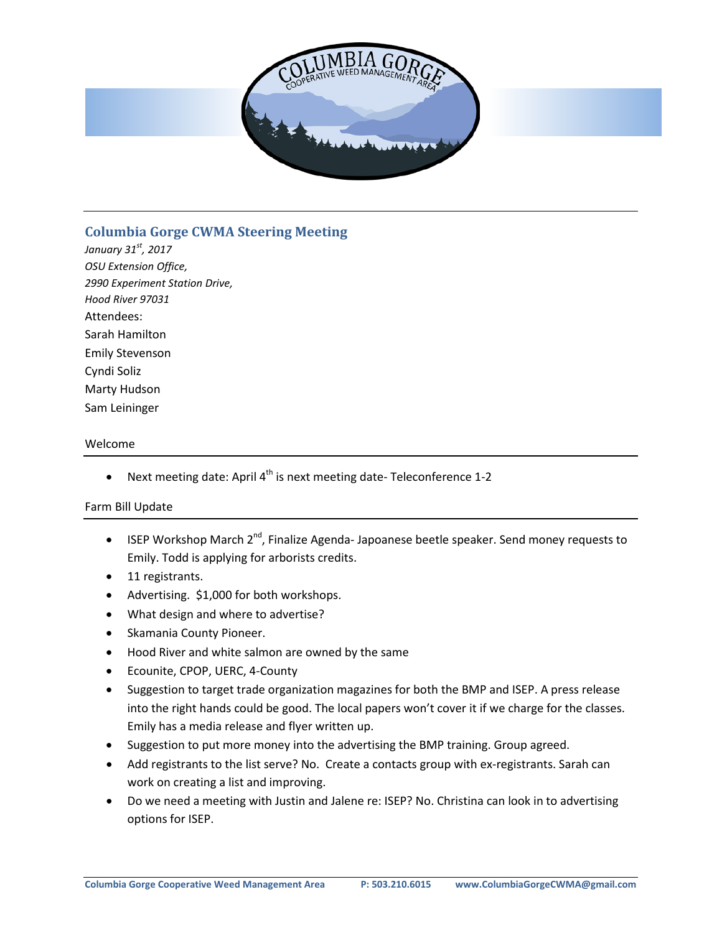

# **Columbia Gorge CWMA Steering Meeting**

*January 31st, 2017 OSU Extension Office, 2990 Experiment Station Drive, Hood River 97031* Attendees: Sarah Hamilton Emily Stevenson Cyndi Soliz Marty Hudson Sam Leininger

### Welcome

Next meeting date: April  $4<sup>th</sup>$  is next meeting date-Teleconference 1-2

### Farm Bill Update

- ISEP Workshop March  $2^{nd}$ , Finalize Agenda-Japoanese beetle speaker. Send money requests to Emily. Todd is applying for arborists credits.
- 11 registrants.
- Advertising. \$1,000 for both workshops.
- What design and where to advertise?
- Skamania County Pioneer.
- Hood River and white salmon are owned by the same
- Ecounite, CPOP, UERC, 4-County
- Suggestion to target trade organization magazines for both the BMP and ISEP. A press release into the right hands could be good. The local papers won't cover it if we charge for the classes. Emily has a media release and flyer written up.
- Suggestion to put more money into the advertising the BMP training. Group agreed.
- Add registrants to the list serve? No. Create a contacts group with ex-registrants. Sarah can work on creating a list and improving.
- Do we need a meeting with Justin and Jalene re: ISEP? No. Christina can look in to advertising options for ISEP.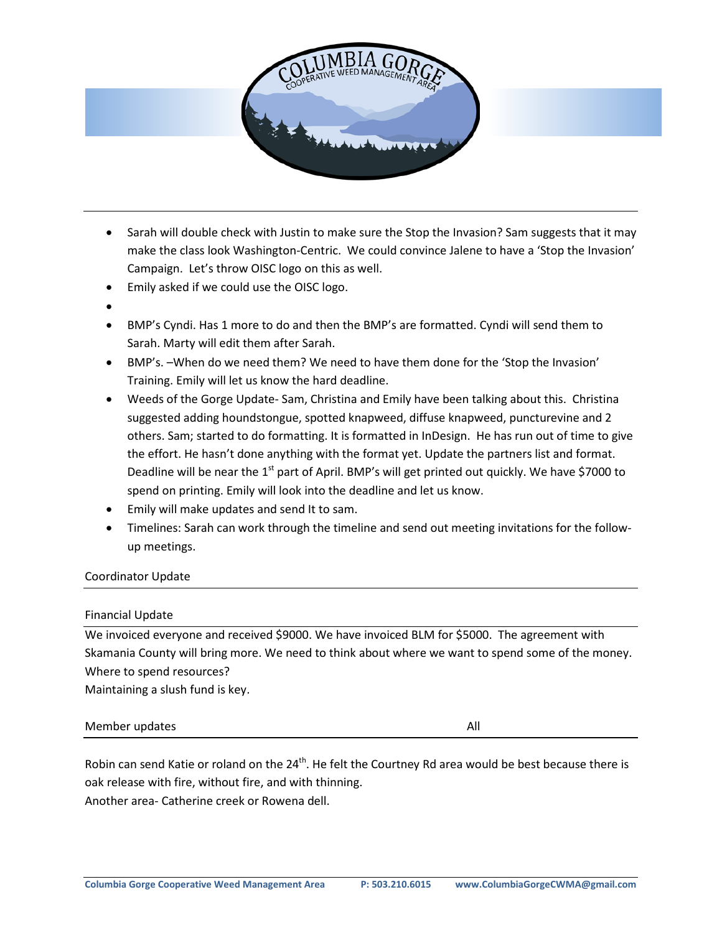

- Sarah will double check with Justin to make sure the Stop the Invasion? Sam suggests that it may make the class look Washington-Centric. We could convince Jalene to have a 'Stop the Invasion' Campaign. Let's throw OISC logo on this as well.
- Emily asked if we could use the OISC logo.
- •
- BMP's Cyndi. Has 1 more to do and then the BMP's are formatted. Cyndi will send them to Sarah. Marty will edit them after Sarah.
- BMP's. –When do we need them? We need to have them done for the 'Stop the Invasion' Training. Emily will let us know the hard deadline.
- Weeds of the Gorge Update- Sam, Christina and Emily have been talking about this. Christina suggested adding houndstongue, spotted knapweed, diffuse knapweed, puncturevine and 2 others. Sam; started to do formatting. It is formatted in InDesign. He has run out of time to give the effort. He hasn't done anything with the format yet. Update the partners list and format. Deadline will be near the 1<sup>st</sup> part of April. BMP's will get printed out quickly. We have \$7000 to spend on printing. Emily will look into the deadline and let us know.
- Emily will make updates and send It to sam.
- Timelines: Sarah can work through the timeline and send out meeting invitations for the followup meetings.

### Coordinator Update

### Financial Update

We invoiced everyone and received \$9000. We have invoiced BLM for \$5000. The agreement with Skamania County will bring more. We need to think about where we want to spend some of the money. Where to spend resources?

Maintaining a slush fund is key.

### Member updates All and the Member updates All and the Member of the All and the Member of the All and the All

Robin can send Katie or roland on the  $24<sup>th</sup>$ . He felt the Courtney Rd area would be best because there is oak release with fire, without fire, and with thinning. Another area- Catherine creek or Rowena dell.